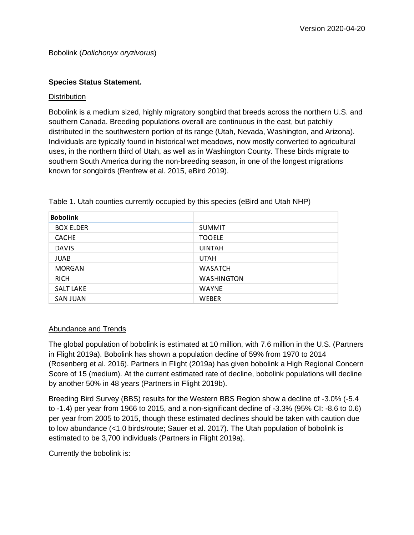#### **Species Status Statement.**

#### **Distribution**

Bobolink is a medium sized, highly migratory songbird that breeds across the northern U.S. and southern Canada. Breeding populations overall are continuous in the east, but patchily distributed in the southwestern portion of its range (Utah, Nevada, Washington, and Arizona). Individuals are typically found in historical wet meadows, now mostly converted to agricultural uses, in the northern third of Utah, as well as in Washington County. These birds migrate to southern South America during the non-breeding season, in one of the longest migrations known for songbirds (Renfrew et al. 2015, eBird 2019).

| <b>Bobolink</b>  |                   |
|------------------|-------------------|
| <b>BOX ELDER</b> | <b>SUMMIT</b>     |
| <b>CACHE</b>     | <b>TOOELE</b>     |
| <b>DAVIS</b>     | <b>UINTAH</b>     |
| <b>JUAB</b>      | <b>UTAH</b>       |
| <b>MORGAN</b>    | <b>WASATCH</b>    |
| <b>RICH</b>      | <b>WASHINGTON</b> |
| <b>SALT LAKE</b> | <b>WAYNE</b>      |
| <b>SAN JUAN</b>  | <b>WEBER</b>      |

Table 1. Utah counties currently occupied by this species (eBird and Utah NHP)

#### Abundance and Trends

The global population of bobolink is estimated at 10 million, with 7.6 million in the U.S. (Partners in Flight 2019a). Bobolink has shown a population decline of 59% from 1970 to 2014 (Rosenberg et al. 2016). Partners in Flight (2019a) has given bobolink a High Regional Concern Score of 15 (medium). At the current estimated rate of decline, bobolink populations will decline by another 50% in 48 years (Partners in Flight 2019b).

Breeding Bird Survey (BBS) results for the Western BBS Region show a decline of -3.0% (-5.4 to -1.4) per year from 1966 to 2015, and a non-significant decline of -3.3% (95% CI: -8.6 to 0.6) per year from 2005 to 2015, though these estimated declines should be taken with caution due to low abundance (<1.0 birds/route; Sauer et al. 2017). The Utah population of bobolink is estimated to be 3,700 individuals (Partners in Flight 2019a).

Currently the bobolink is: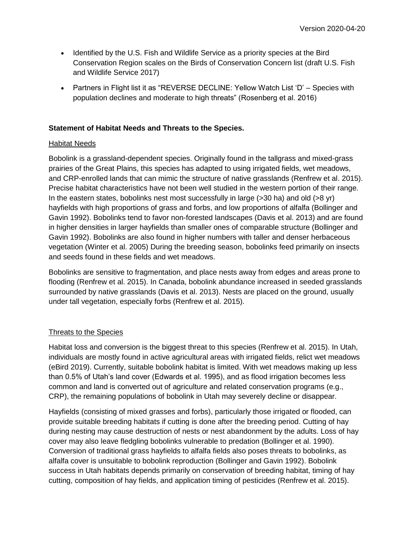- Identified by the U.S. Fish and Wildlife Service as a priority species at the Bird Conservation Region scales on the Birds of Conservation Concern list (draft U.S. Fish and Wildlife Service 2017)
- Partners in Flight list it as "REVERSE DECLINE: Yellow Watch List 'D' Species with population declines and moderate to high threats" (Rosenberg et al. 2016)

## **Statement of Habitat Needs and Threats to the Species.**

#### Habitat Needs

Bobolink is a grassland-dependent species. Originally found in the tallgrass and mixed-grass prairies of the Great Plains, this species has adapted to using irrigated fields, wet meadows, and CRP-enrolled lands that can mimic the structure of native grasslands (Renfrew et al. 2015). Precise habitat characteristics have not been well studied in the western portion of their range. In the eastern states, bobolinks nest most successfully in large (>30 ha) and old (>8 yr) hayfields with high proportions of grass and forbs, and low proportions of alfalfa (Bollinger and Gavin 1992). Bobolinks tend to favor non-forested landscapes (Davis et al. 2013) and are found in higher densities in larger hayfields than smaller ones of comparable structure (Bollinger and Gavin 1992). Bobolinks are also found in higher numbers with taller and denser herbaceous vegetation (Winter et al. 2005) During the breeding season, bobolinks feed primarily on insects and seeds found in these fields and wet meadows.

Bobolinks are sensitive to fragmentation, and place nests away from edges and areas prone to flooding (Renfrew et al. 2015). In Canada, bobolink abundance increased in seeded grasslands surrounded by native grasslands (Davis et al. 2013). Nests are placed on the ground, usually under tall vegetation, especially forbs (Renfrew et al. 2015).

# Threats to the Species

Habitat loss and conversion is the biggest threat to this species (Renfrew et al. 2015). In Utah, individuals are mostly found in active agricultural areas with irrigated fields, relict wet meadows (eBird 2019). Currently, suitable bobolink habitat is limited. With wet meadows making up less than 0.5% of Utah's land cover (Edwards et al. 1995), and as flood irrigation becomes less common and land is converted out of agriculture and related conservation programs (e.g., CRP), the remaining populations of bobolink in Utah may severely decline or disappear.

Hayfields (consisting of mixed grasses and forbs), particularly those irrigated or flooded, can provide suitable breeding habitats if cutting is done after the breeding period. Cutting of hay during nesting may cause destruction of nests or nest abandonment by the adults. Loss of hay cover may also leave fledgling bobolinks vulnerable to predation (Bollinger et al. 1990). Conversion of traditional grass hayfields to alfalfa fields also poses threats to bobolinks, as alfalfa cover is unsuitable to bobolink reproduction (Bollinger and Gavin 1992). Bobolink success in Utah habitats depends primarily on conservation of breeding habitat, timing of hay cutting, composition of hay fields, and application timing of pesticides (Renfrew et al. 2015).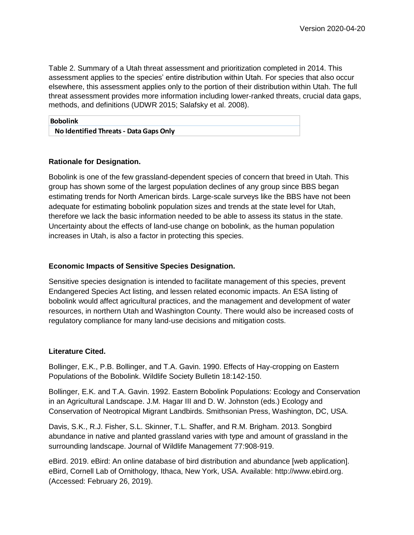Table 2. Summary of a Utah threat assessment and prioritization completed in 2014. This assessment applies to the species' entire distribution within Utah. For species that also occur elsewhere, this assessment applies only to the portion of their distribution within Utah. The full threat assessment provides more information including lower-ranked threats, crucial data gaps, methods, and definitions (UDWR 2015; Salafsky et al. 2008).

| <b>Bobolink</b>                        |  |
|----------------------------------------|--|
| No Identified Threats - Data Gaps Only |  |

## **Rationale for Designation.**

Bobolink is one of the few grassland-dependent species of concern that breed in Utah. This group has shown some of the largest population declines of any group since BBS began estimating trends for North American birds. Large-scale surveys like the BBS have not been adequate for estimating bobolink population sizes and trends at the state level for Utah, therefore we lack the basic information needed to be able to assess its status in the state. Uncertainty about the effects of land-use change on bobolink, as the human population increases in Utah, is also a factor in protecting this species.

### **Economic Impacts of Sensitive Species Designation.**

Sensitive species designation is intended to facilitate management of this species, prevent Endangered Species Act listing, and lessen related economic impacts. An ESA listing of bobolink would affect agricultural practices, and the management and development of water resources, in northern Utah and Washington County. There would also be increased costs of regulatory compliance for many land-use decisions and mitigation costs.

#### **Literature Cited.**

Bollinger, E.K., P.B. Bollinger, and T.A. Gavin. 1990. Effects of Hay-cropping on Eastern Populations of the Bobolink. Wildlife Society Bulletin 18:142-150.

Bollinger, E.K. and T.A. Gavin. 1992. Eastern Bobolink Populations: Ecology and Conservation in an Agricultural Landscape. J.M. Hagar III and D. W. Johnston (eds.) Ecology and Conservation of Neotropical Migrant Landbirds. Smithsonian Press, Washington, DC, USA.

Davis, S.K., R.J. Fisher, S.L. Skinner, T.L. Shaffer, and R.M. Brigham. 2013. Songbird abundance in native and planted grassland varies with type and amount of grassland in the surrounding landscape. Journal of Wildlife Management 77:908-919.

eBird. 2019. eBird: An online database of bird distribution and abundance [web application]. eBird, Cornell Lab of Ornithology, Ithaca, New York, USA. Available: http://www.ebird.org. (Accessed: February 26, 2019).